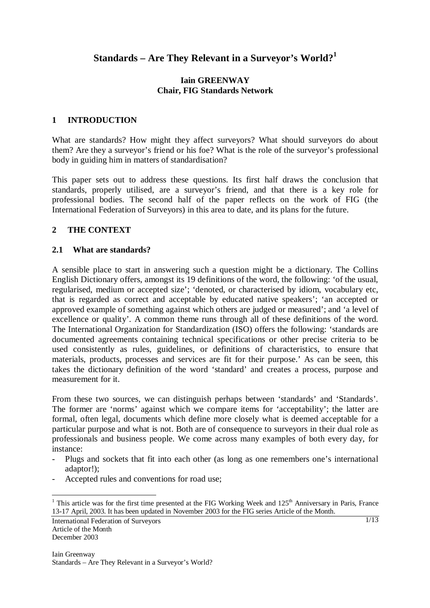# **Standards – Are They Relevant in a Surveyor's World?<sup>1</sup>**

### **Iain GREENWAY Chair, FIG Standards Network**

## **1 INTRODUCTION**

What are standards? How might they affect surveyors? What should surveyors do about them? Are they a surveyor's friend or his foe? What is the role of the surveyor's professional body in guiding him in matters of standardisation?

This paper sets out to address these questions. Its first half draws the conclusion that standards, properly utilised, are a surveyor's friend, and that there is a key role for professional bodies. The second half of the paper reflects on the work of FIG (the International Federation of Surveyors) in this area to date, and its plans for the future.

## **2 THE CONTEXT**

## **2.1 What are standards?**

A sensible place to start in answering such a question might be a dictionary. The Collins English Dictionary offers, amongst its 19 definitions of the word, the following: 'of the usual, regularised, medium or accepted size'; 'denoted, or characterised by idiom, vocabulary etc, that is regarded as correct and acceptable by educated native speakers'; 'an accepted or approved example of something against which others are judged or measured'; and 'a level of excellence or quality'. A common theme runs through all of these definitions of the word. The International Organization for Standardization (ISO) offers the following: 'standards are documented agreements containing technical specifications or other precise criteria to be used consistently as rules, guidelines, or definitions of characteristics, to ensure that materials, products, processes and services are fit for their purpose.' As can be seen, this takes the dictionary definition of the word 'standard' and creates a process, purpose and measurement for it.

From these two sources, we can distinguish perhaps between 'standards' and 'Standards'. The former are 'norms' against which we compare items for 'acceptability'; the latter are formal, often legal, documents which define more closely what is deemed acceptable for a particular purpose and what is not. Both are of consequence to surveyors in their dual role as professionals and business people. We come across many examples of both every day, for instance:

- Plugs and sockets that fit into each other (as long as one remembers one's international adaptor!);
- Accepted rules and conventions for road use;

<sup>&</sup>lt;sup>1</sup> This article was for the first time presented at the FIG Working Week and 125<sup>th</sup> Anniversary in Paris, France 13-17 April, 2003. It has been updated in November 2003 for the FIG series Article of the Month.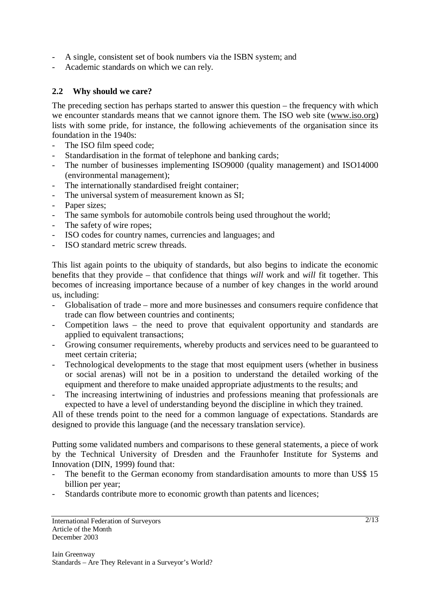- A single, consistent set of book numbers via the ISBN system; and
- Academic standards on which we can rely.

### **2.2 Why should we care?**

The preceding section has perhaps started to answer this question – the frequency with which we encounter standards means that we cannot ignore them. The ISO web site (www.iso.org) lists with some pride, for instance, the following achievements of the organisation since its foundation in the 1940s:

- The ISO film speed code;
- Standardisation in the format of telephone and banking cards;
- The number of businesses implementing ISO9000 (quality management) and ISO14000 (environmental management);
- The internationally standardised freight container;
- The universal system of measurement known as SI;
- Paper sizes;
- The same symbols for automobile controls being used throughout the world;
- The safety of wire ropes;
- ISO codes for country names, currencies and languages; and
- ISO standard metric screw threads.

This list again points to the ubiquity of standards, but also begins to indicate the economic benefits that they provide – that confidence that things *will* work and *will* fit together. This becomes of increasing importance because of a number of key changes in the world around us, including:

- Globalisation of trade more and more businesses and consumers require confidence that trade can flow between countries and continents;
- Competition laws the need to prove that equivalent opportunity and standards are applied to equivalent transactions;
- Growing consumer requirements, whereby products and services need to be guaranteed to meet certain criteria;
- Technological developments to the stage that most equipment users (whether in business or social arenas) will not be in a position to understand the detailed working of the equipment and therefore to make unaided appropriate adjustments to the results; and
- The increasing intertwining of industries and professions meaning that professionals are expected to have a level of understanding beyond the discipline in which they trained.

All of these trends point to the need for a common language of expectations. Standards are designed to provide this language (and the necessary translation service).

Putting some validated numbers and comparisons to these general statements, a piece of work by the Technical University of Dresden and the Fraunhofer Institute for Systems and Innovation (DIN, 1999) found that:

- The benefit to the German economy from standardisation amounts to more than US\$ 15 billion per year;
- Standards contribute more to economic growth than patents and licences;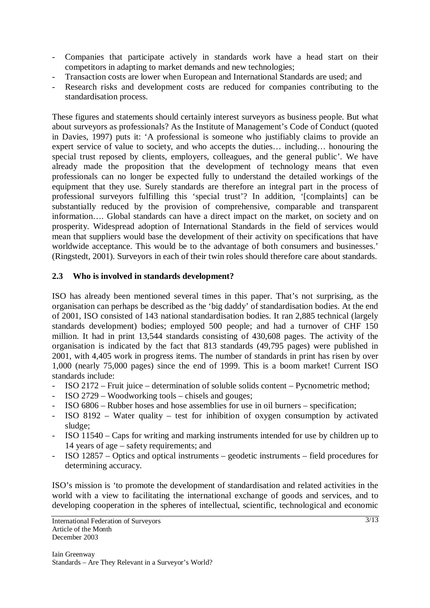- Companies that participate actively in standards work have a head start on their competitors in adapting to market demands and new technologies;
- Transaction costs are lower when European and International Standards are used; and
- Research risks and development costs are reduced for companies contributing to the standardisation process.

These figures and statements should certainly interest surveyors as business people. But what about surveyors as professionals? As the Institute of Management's Code of Conduct (quoted in Davies, 1997) puts it: 'A professional is someone who justifiably claims to provide an expert service of value to society, and who accepts the duties… including… honouring the special trust reposed by clients, employers, colleagues, and the general public'. We have already made the proposition that the development of technology means that even professionals can no longer be expected fully to understand the detailed workings of the equipment that they use. Surely standards are therefore an integral part in the process of professional surveyors fulfilling this 'special trust'? In addition, '[complaints] can be substantially reduced by the provision of comprehensive, comparable and transparent information…. Global standards can have a direct impact on the market, on society and on prosperity. Widespread adoption of International Standards in the field of services would mean that suppliers would base the development of their activity on specifications that have worldwide acceptance. This would be to the advantage of both consumers and businesses.' (Ringstedt, 2001). Surveyors in each of their twin roles should therefore care about standards.

## **2.3 Who is involved in standards development?**

ISO has already been mentioned several times in this paper. That's not surprising, as the organisation can perhaps be described as the 'big daddy' of standardisation bodies. At the end of 2001, ISO consisted of 143 national standardisation bodies. It ran 2,885 technical (largely standards development) bodies; employed 500 people; and had a turnover of CHF 150 million. It had in print 13,544 standards consisting of 430,608 pages. The activity of the organisation is indicated by the fact that 813 standards (49,795 pages) were published in 2001, with 4,405 work in progress items. The number of standards in print has risen by over 1,000 (nearly 75,000 pages) since the end of 1999. This is a boom market! Current ISO standards include:

- ISO 2172 Fruit juice determination of soluble solids content Pycnometric method;
- ISO 2729 Woodworking tools chisels and gouges;
- ISO 6806 Rubber hoses and hose assemblies for use in oil burners specification;
- ISO 8192 Water quality test for inhibition of oxygen consumption by activated sludge;
- ISO 11540 Caps for writing and marking instruments intended for use by children up to 14 years of age – safety requirements; and
- ISO 12857 Optics and optical instruments geodetic instruments field procedures for determining accuracy.

ISO's mission is 'to promote the development of standardisation and related activities in the world with a view to facilitating the international exchange of goods and services, and to developing cooperation in the spheres of intellectual, scientific, technological and economic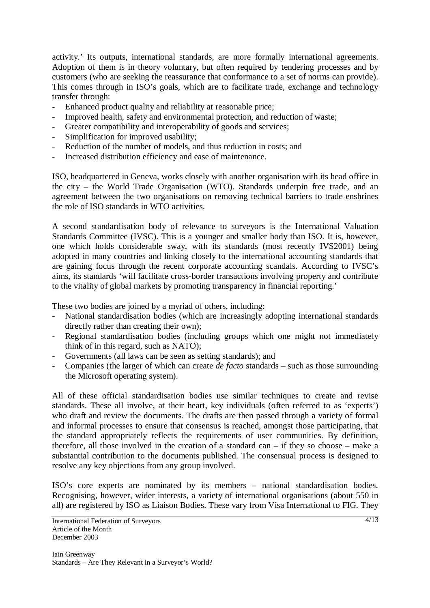activity.' Its outputs, international standards, are more formally international agreements. Adoption of them is in theory voluntary, but often required by tendering processes and by customers (who are seeking the reassurance that conformance to a set of norms can provide). This comes through in ISO's goals, which are to facilitate trade, exchange and technology transfer through:

- Enhanced product quality and reliability at reasonable price;
- Improved health, safety and environmental protection, and reduction of waste;
- Greater compatibility and interoperability of goods and services;
- Simplification for improved usability;
- Reduction of the number of models, and thus reduction in costs; and
- Increased distribution efficiency and ease of maintenance.

ISO, headquartered in Geneva, works closely with another organisation with its head office in the city – the World Trade Organisation (WTO). Standards underpin free trade, and an agreement between the two organisations on removing technical barriers to trade enshrines the role of ISO standards in WTO activities.

A second standardisation body of relevance to surveyors is the International Valuation Standards Committee (IVSC). This is a younger and smaller body than ISO. It is, however, one which holds considerable sway, with its standards (most recently IVS2001) being adopted in many countries and linking closely to the international accounting standards that are gaining focus through the recent corporate accounting scandals. According to IVSC's aims, its standards 'will facilitate cross-border transactions involving property and contribute to the vitality of global markets by promoting transparency in financial reporting.'

These two bodies are joined by a myriad of others, including:

- National standardisation bodies (which are increasingly adopting international standards directly rather than creating their own);
- Regional standardisation bodies (including groups which one might not immediately think of in this regard, such as NATO);
- Governments (all laws can be seen as setting standards); and
- Companies (the larger of which can create *de facto* standards such as those surrounding the Microsoft operating system).

All of these official standardisation bodies use similar techniques to create and revise standards. These all involve, at their heart, key individuals (often referred to as 'experts') who draft and review the documents. The drafts are then passed through a variety of formal and informal processes to ensure that consensus is reached, amongst those participating, that the standard appropriately reflects the requirements of user communities. By definition, therefore, all those involved in the creation of a standard can  $-$  if they so choose  $-$  make a substantial contribution to the documents published. The consensual process is designed to resolve any key objections from any group involved.

ISO's core experts are nominated by its members – national standardisation bodies. Recognising, however, wider interests, a variety of international organisations (about 550 in all) are registered by ISO as Liaison Bodies. These vary from Visa International to FIG. They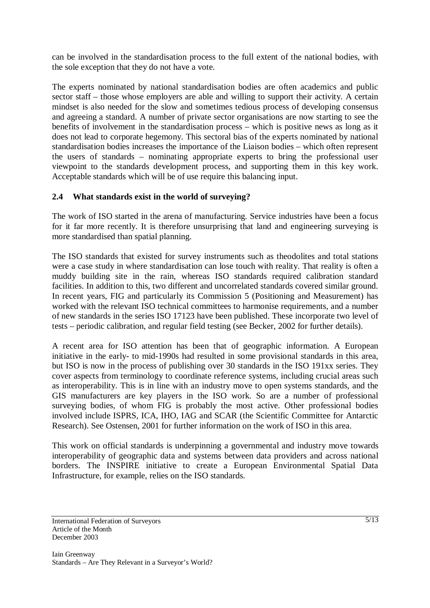can be involved in the standardisation process to the full extent of the national bodies, with the sole exception that they do not have a vote.

The experts nominated by national standardisation bodies are often academics and public sector staff – those whose employers are able and willing to support their activity. A certain mindset is also needed for the slow and sometimes tedious process of developing consensus and agreeing a standard. A number of private sector organisations are now starting to see the benefits of involvement in the standardisation process – which is positive news as long as it does not lead to corporate hegemony. This sectoral bias of the experts nominated by national standardisation bodies increases the importance of the Liaison bodies – which often represent the users of standards – nominating appropriate experts to bring the professional user viewpoint to the standards development process, and supporting them in this key work. Acceptable standards which will be of use require this balancing input.

## **2.4 What standards exist in the world of surveying?**

The work of ISO started in the arena of manufacturing. Service industries have been a focus for it far more recently. It is therefore unsurprising that land and engineering surveying is more standardised than spatial planning.

The ISO standards that existed for survey instruments such as theodolites and total stations were a case study in where standardisation can lose touch with reality. That reality is often a muddy building site in the rain, whereas ISO standards required calibration standard facilities. In addition to this, two different and uncorrelated standards covered similar ground. In recent years, FIG and particularly its Commission 5 (Positioning and Measurement) has worked with the relevant ISO technical committees to harmonise requirements, and a number of new standards in the series ISO 17123 have been published. These incorporate two level of tests – periodic calibration, and regular field testing (see Becker, 2002 for further details).

A recent area for ISO attention has been that of geographic information. A European initiative in the early- to mid-1990s had resulted in some provisional standards in this area, but ISO is now in the process of publishing over 30 standards in the ISO 191xx series. They cover aspects from terminology to coordinate reference systems, including crucial areas such as interoperability. This is in line with an industry move to open systems standards, and the GIS manufacturers are key players in the ISO work. So are a number of professional surveying bodies, of whom FIG is probably the most active. Other professional bodies involved include ISPRS, ICA, IHO, IAG and SCAR (the Scientific Committee for Antarctic Research). See Ostensen, 2001 for further information on the work of ISO in this area.

This work on official standards is underpinning a governmental and industry move towards interoperability of geographic data and systems between data providers and across national borders. The INSPIRE initiative to create a European Environmental Spatial Data Infrastructure, for example, relies on the ISO standards.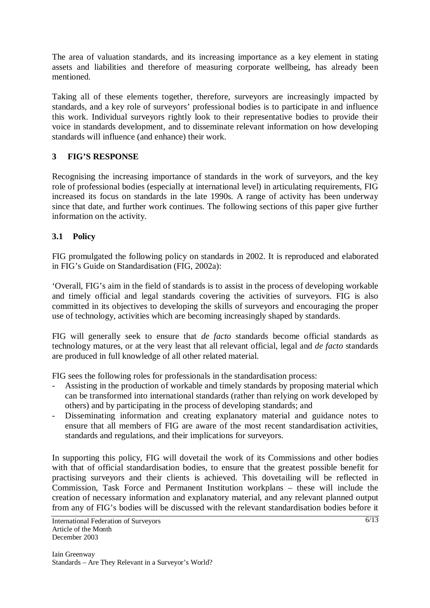The area of valuation standards, and its increasing importance as a key element in stating assets and liabilities and therefore of measuring corporate wellbeing, has already been mentioned.

Taking all of these elements together, therefore, surveyors are increasingly impacted by standards, and a key role of surveyors' professional bodies is to participate in and influence this work. Individual surveyors rightly look to their representative bodies to provide their voice in standards development, and to disseminate relevant information on how developing standards will influence (and enhance) their work.

## **3 FIG'S RESPONSE**

Recognising the increasing importance of standards in the work of surveyors, and the key role of professional bodies (especially at international level) in articulating requirements, FIG increased its focus on standards in the late 1990s. A range of activity has been underway since that date, and further work continues. The following sections of this paper give further information on the activity.

## **3.1 Policy**

FIG promulgated the following policy on standards in 2002. It is reproduced and elaborated in FIG's Guide on Standardisation (FIG, 2002a):

'Overall, FIG's aim in the field of standards is to assist in the process of developing workable and timely official and legal standards covering the activities of surveyors. FIG is also committed in its objectives to developing the skills of surveyors and encouraging the proper use of technology, activities which are becoming increasingly shaped by standards.

FIG will generally seek to ensure that *de facto* standards become official standards as technology matures, or at the very least that all relevant official, legal and *de facto* standards are produced in full knowledge of all other related material.

FIG sees the following roles for professionals in the standardisation process:

- Assisting in the production of workable and timely standards by proposing material which can be transformed into international standards (rather than relying on work developed by others) and by participating in the process of developing standards; and
- Disseminating information and creating explanatory material and guidance notes to ensure that all members of FIG are aware of the most recent standardisation activities, standards and regulations, and their implications for surveyors.

In supporting this policy, FIG will dovetail the work of its Commissions and other bodies with that of official standardisation bodies, to ensure that the greatest possible benefit for practising surveyors and their clients is achieved. This dovetailing will be reflected in Commission, Task Force and Permanent Institution workplans – these will include the creation of necessary information and explanatory material, and any relevant planned output from any of FIG's bodies will be discussed with the relevant standardisation bodies before it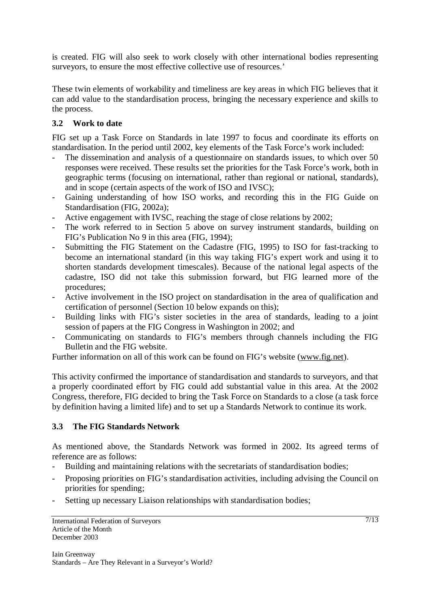is created. FIG will also seek to work closely with other international bodies representing surveyors, to ensure the most effective collective use of resources.'

These twin elements of workability and timeliness are key areas in which FIG believes that it can add value to the standardisation process, bringing the necessary experience and skills to the process.

## **3.2 Work to date**

FIG set up a Task Force on Standards in late 1997 to focus and coordinate its efforts on standardisation. In the period until 2002, key elements of the Task Force's work included:

- The dissemination and analysis of a questionnaire on standards issues, to which over 50 responses were received. These results set the priorities for the Task Force's work, both in geographic terms (focusing on international, rather than regional or national, standards), and in scope (certain aspects of the work of ISO and IVSC);
- Gaining understanding of how ISO works, and recording this in the FIG Guide on Standardisation (FIG, 2002a);
- Active engagement with IVSC, reaching the stage of close relations by 2002;
- The work referred to in Section 5 above on survey instrument standards, building on FIG's Publication No 9 in this area (FIG, 1994);
- Submitting the FIG Statement on the Cadastre (FIG, 1995) to ISO for fast-tracking to become an international standard (in this way taking FIG's expert work and using it to shorten standards development timescales). Because of the national legal aspects of the cadastre, ISO did not take this submission forward, but FIG learned more of the procedures;
- Active involvement in the ISO project on standardisation in the area of qualification and certification of personnel (Section 10 below expands on this);
- Building links with FIG's sister societies in the area of standards, leading to a joint session of papers at the FIG Congress in Washington in 2002; and
- Communicating on standards to FIG's members through channels including the FIG Bulletin and the FIG website.

Further information on all of this work can be found on FIG's website (www.fig.net).

This activity confirmed the importance of standardisation and standards to surveyors, and that a properly coordinated effort by FIG could add substantial value in this area. At the 2002 Congress, therefore, FIG decided to bring the Task Force on Standards to a close (a task force by definition having a limited life) and to set up a Standards Network to continue its work.

## **3.3 The FIG Standards Network**

As mentioned above, the Standards Network was formed in 2002. Its agreed terms of reference are as follows:

- Building and maintaining relations with the secretariats of standardisation bodies;
- Proposing priorities on FIG's standardisation activities, including advising the Council on priorities for spending;
- Setting up necessary Liaison relationships with standardisation bodies;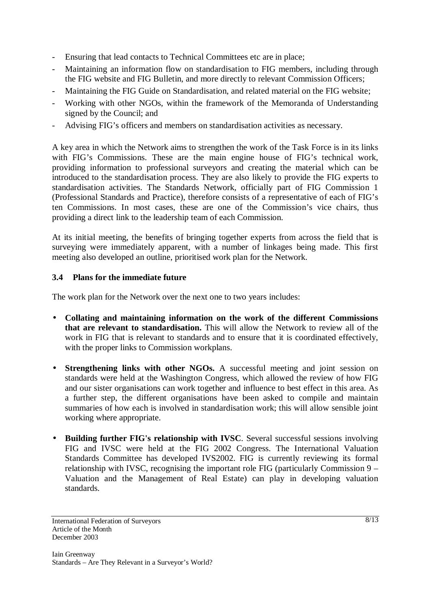- Ensuring that lead contacts to Technical Committees etc are in place;
- Maintaining an information flow on standardisation to FIG members, including through the FIG website and FIG Bulletin, and more directly to relevant Commission Officers;
- Maintaining the FIG Guide on Standardisation, and related material on the FIG website;
- Working with other NGOs, within the framework of the Memoranda of Understanding signed by the Council; and
- Advising FIG's officers and members on standardisation activities as necessary.

A key area in which the Network aims to strengthen the work of the Task Force is in its links with FIG's Commissions. These are the main engine house of FIG's technical work, providing information to professional surveyors and creating the material which can be introduced to the standardisation process. They are also likely to provide the FIG experts to standardisation activities. The Standards Network, officially part of FIG Commission 1 (Professional Standards and Practice), therefore consists of a representative of each of FIG's ten Commissions. In most cases, these are one of the Commission's vice chairs, thus providing a direct link to the leadership team of each Commission.

At its initial meeting, the benefits of bringing together experts from across the field that is surveying were immediately apparent, with a number of linkages being made. This first meeting also developed an outline, prioritised work plan for the Network.

### **3.4 Plans for the immediate future**

The work plan for the Network over the next one to two years includes:

- **Collating and maintaining information on the work of the different Commissions that are relevant to standardisation.** This will allow the Network to review all of the work in FIG that is relevant to standards and to ensure that it is coordinated effectively, with the proper links to Commission workplans.
- **Strengthening links with other NGOs.** A successful meeting and joint session on standards were held at the Washington Congress, which allowed the review of how FIG and our sister organisations can work together and influence to best effect in this area. As a further step, the different organisations have been asked to compile and maintain summaries of how each is involved in standardisation work; this will allow sensible joint working where appropriate.
- **Building further FIG's relationship with IVSC**. Several successful sessions involving FIG and IVSC were held at the FIG 2002 Congress. The International Valuation Standards Committee has developed IVS2002. FIG is currently reviewing its formal relationship with IVSC, recognising the important role FIG (particularly Commission 9 – Valuation and the Management of Real Estate) can play in developing valuation standards.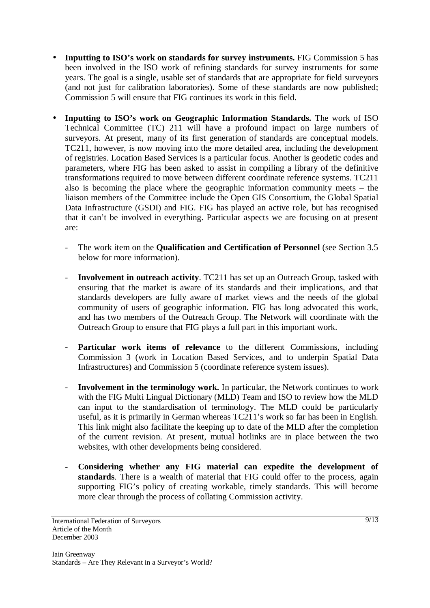- **Inputting to ISO's work on standards for survey instruments.** FIG Commission 5 has been involved in the ISO work of refining standards for survey instruments for some years. The goal is a single, usable set of standards that are appropriate for field surveyors (and not just for calibration laboratories). Some of these standards are now published; Commission 5 will ensure that FIG continues its work in this field.
- **Inputting to ISO's work on Geographic Information Standards.** The work of ISO Technical Committee (TC) 211 will have a profound impact on large numbers of surveyors. At present, many of its first generation of standards are conceptual models. TC211, however, is now moving into the more detailed area, including the development of registries. Location Based Services is a particular focus. Another is geodetic codes and parameters, where FIG has been asked to assist in compiling a library of the definitive transformations required to move between different coordinate reference systems. TC211 also is becoming the place where the geographic information community meets – the liaison members of the Committee include the Open GIS Consortium, the Global Spatial Data Infrastructure (GSDI) and FIG. FIG has played an active role, but has recognised that it can't be involved in everything. Particular aspects we are focusing on at present are:
	- The work item on the **Qualification and Certification of Personnel** (see Section 3.5 below for more information).
	- **Involvement in outreach activity**. TC211 has set up an Outreach Group, tasked with ensuring that the market is aware of its standards and their implications, and that standards developers are fully aware of market views and the needs of the global community of users of geographic information. FIG has long advocated this work, and has two members of the Outreach Group. The Network will coordinate with the Outreach Group to ensure that FIG plays a full part in this important work.
	- Particular work items of relevance to the different Commissions, including Commission 3 (work in Location Based Services, and to underpin Spatial Data Infrastructures) and Commission 5 (coordinate reference system issues).
	- **Involvement in the terminology work.** In particular, the Network continues to work with the FIG Multi Lingual Dictionary (MLD) Team and ISO to review how the MLD can input to the standardisation of terminology. The MLD could be particularly useful, as it is primarily in German whereas TC211's work so far has been in English. This link might also facilitate the keeping up to date of the MLD after the completion of the current revision. At present, mutual hotlinks are in place between the two websites, with other developments being considered.
	- **Considering whether any FIG material can expedite the development of standards**. There is a wealth of material that FIG could offer to the process, again supporting FIG's policy of creating workable, timely standards. This will become more clear through the process of collating Commission activity.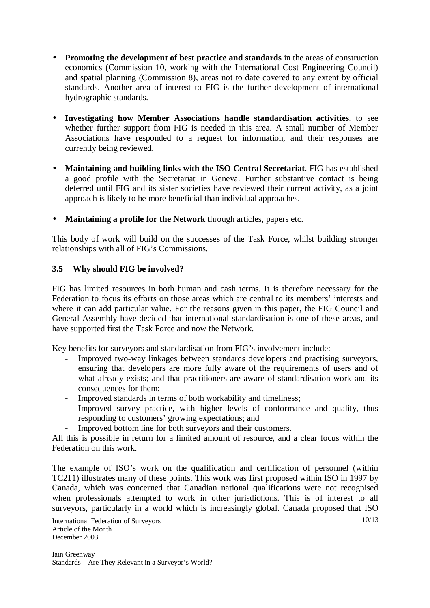- **Promoting the development of best practice and standards** in the areas of construction economics (Commission 10, working with the International Cost Engineering Council) and spatial planning (Commission 8), areas not to date covered to any extent by official standards. Another area of interest to FIG is the further development of international hydrographic standards.
- **Investigating how Member Associations handle standardisation activities**, to see whether further support from FIG is needed in this area. A small number of Member Associations have responded to a request for information, and their responses are currently being reviewed.
- **Maintaining and building links with the ISO Central Secretariat**. FIG has established a good profile with the Secretariat in Geneva. Further substantive contact is being deferred until FIG and its sister societies have reviewed their current activity, as a joint approach is likely to be more beneficial than individual approaches.
- **Maintaining a profile for the Network** through articles, papers etc.

This body of work will build on the successes of the Task Force, whilst building stronger relationships with all of FIG's Commissions.

## **3.5 Why should FIG be involved?**

FIG has limited resources in both human and cash terms. It is therefore necessary for the Federation to focus its efforts on those areas which are central to its members' interests and where it can add particular value. For the reasons given in this paper, the FIG Council and General Assembly have decided that international standardisation is one of these areas, and have supported first the Task Force and now the Network.

Key benefits for surveyors and standardisation from FIG's involvement include:

- Improved two-way linkages between standards developers and practising surveyors, ensuring that developers are more fully aware of the requirements of users and of what already exists; and that practitioners are aware of standardisation work and its consequences for them;
- Improved standards in terms of both workability and timeliness;
- Improved survey practice, with higher levels of conformance and quality, thus responding to customers' growing expectations; and
- Improved bottom line for both surveyors and their customers.

All this is possible in return for a limited amount of resource, and a clear focus within the Federation on this work.

The example of ISO's work on the qualification and certification of personnel (within TC211) illustrates many of these points. This work was first proposed within ISO in 1997 by Canada, which was concerned that Canadian national qualifications were not recognised when professionals attempted to work in other jurisdictions. This is of interest to all surveyors, particularly in a world which is increasingly global. Canada proposed that ISO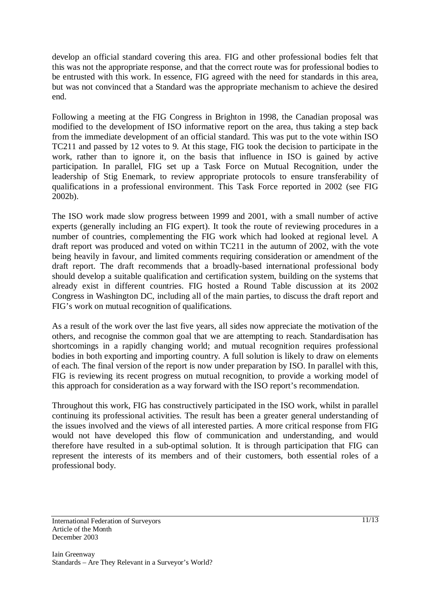develop an official standard covering this area. FIG and other professional bodies felt that this was not the appropriate response, and that the correct route was for professional bodies to be entrusted with this work. In essence, FIG agreed with the need for standards in this area, but was not convinced that a Standard was the appropriate mechanism to achieve the desired end.

Following a meeting at the FIG Congress in Brighton in 1998, the Canadian proposal was modified to the development of ISO informative report on the area, thus taking a step back from the immediate development of an official standard. This was put to the vote within ISO TC211 and passed by 12 votes to 9. At this stage, FIG took the decision to participate in the work, rather than to ignore it, on the basis that influence in ISO is gained by active participation. In parallel, FIG set up a Task Force on Mutual Recognition, under the leadership of Stig Enemark, to review appropriate protocols to ensure transferability of qualifications in a professional environment. This Task Force reported in 2002 (see FIG 2002b).

The ISO work made slow progress between 1999 and 2001, with a small number of active experts (generally including an FIG expert). It took the route of reviewing procedures in a number of countries, complementing the FIG work which had looked at regional level. A draft report was produced and voted on within TC211 in the autumn of 2002, with the vote being heavily in favour, and limited comments requiring consideration or amendment of the draft report. The draft recommends that a broadly-based international professional body should develop a suitable qualification and certification system, building on the systems that already exist in different countries. FIG hosted a Round Table discussion at its 2002 Congress in Washington DC, including all of the main parties, to discuss the draft report and FIG's work on mutual recognition of qualifications.

As a result of the work over the last five years, all sides now appreciate the motivation of the others, and recognise the common goal that we are attempting to reach. Standardisation has shortcomings in a rapidly changing world; and mutual recognition requires professional bodies in both exporting and importing country. A full solution is likely to draw on elements of each. The final version of the report is now under preparation by ISO. In parallel with this, FIG is reviewing its recent progress on mutual recognition, to provide a working model of this approach for consideration as a way forward with the ISO report's recommendation.

Throughout this work, FIG has constructively participated in the ISO work, whilst in parallel continuing its professional activities. The result has been a greater general understanding of the issues involved and the views of all interested parties. A more critical response from FIG would not have developed this flow of communication and understanding, and would therefore have resulted in a sub-optimal solution. It is through participation that FIG can represent the interests of its members and of their customers, both essential roles of a professional body.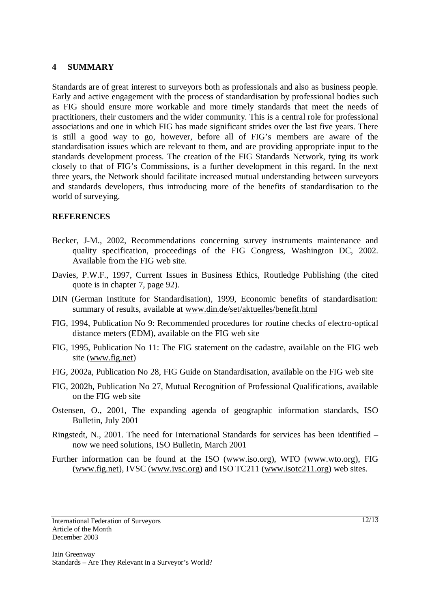#### **4 SUMMARY**

Standards are of great interest to surveyors both as professionals and also as business people. Early and active engagement with the process of standardisation by professional bodies such as FIG should ensure more workable and more timely standards that meet the needs of practitioners, their customers and the wider community. This is a central role for professional associations and one in which FIG has made significant strides over the last five years. There is still a good way to go, however, before all of FIG's members are aware of the standardisation issues which are relevant to them, and are providing appropriate input to the standards development process. The creation of the FIG Standards Network, tying its work closely to that of FIG's Commissions, is a further development in this regard. In the next three years, the Network should facilitate increased mutual understanding between surveyors and standards developers, thus introducing more of the benefits of standardisation to the world of surveying.

#### **REFERENCES**

- Becker, J-M., 2002, Recommendations concerning survey instruments maintenance and quality specification, proceedings of the FIG Congress, Washington DC, 2002. Available from the FIG web site.
- Davies, P.W.F., 1997, Current Issues in Business Ethics, Routledge Publishing (the cited quote is in chapter 7, page 92).
- DIN (German Institute for Standardisation), 1999, Economic benefits of standardisation: summary of results, available at www.din.de/set/aktuelles/benefit.html
- FIG, 1994, Publication No 9: Recommended procedures for routine checks of electro-optical distance meters (EDM), available on the FIG web site
- FIG, 1995, Publication No 11: The FIG statement on the cadastre, available on the FIG web site (www.fig.net)
- FIG, 2002a, Publication No 28, FIG Guide on Standardisation, available on the FIG web site
- FIG, 2002b, Publication No 27, Mutual Recognition of Professional Qualifications, available on the FIG web site
- Ostensen, O., 2001, The expanding agenda of geographic information standards, ISO Bulletin, July 2001
- Ringstedt, N., 2001. The need for International Standards for services has been identified now we need solutions, ISO Bulletin, March 2001
- Further information can be found at the ISO (www.iso.org), WTO (www.wto.org), FIG (www.fig.net), IVSC (www.ivsc.org) and ISO TC211 (www.isotc211.org) web sites.